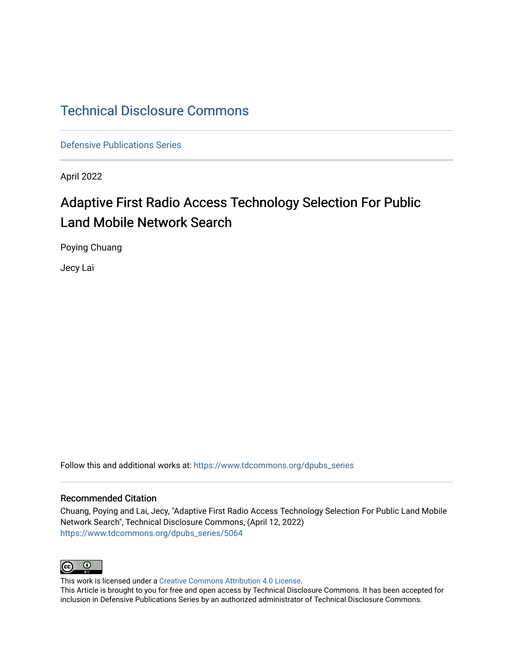# [Technical Disclosure Commons](https://www.tdcommons.org/)

[Defensive Publications Series](https://www.tdcommons.org/dpubs_series)

April 2022

# Adaptive First Radio Access Technology Selection For Public Land Mobile Network Search

Poying Chuang

Jecy Lai

Follow this and additional works at: [https://www.tdcommons.org/dpubs\\_series](https://www.tdcommons.org/dpubs_series?utm_source=www.tdcommons.org%2Fdpubs_series%2F5064&utm_medium=PDF&utm_campaign=PDFCoverPages) 

#### Recommended Citation

Chuang, Poying and Lai, Jecy, "Adaptive First Radio Access Technology Selection For Public Land Mobile Network Search", Technical Disclosure Commons, (April 12, 2022) [https://www.tdcommons.org/dpubs\\_series/5064](https://www.tdcommons.org/dpubs_series/5064?utm_source=www.tdcommons.org%2Fdpubs_series%2F5064&utm_medium=PDF&utm_campaign=PDFCoverPages)



This work is licensed under a [Creative Commons Attribution 4.0 License](http://creativecommons.org/licenses/by/4.0/deed.en_US).

This Article is brought to you for free and open access by Technical Disclosure Commons. It has been accepted for inclusion in Defensive Publications Series by an authorized administrator of Technical Disclosure Commons.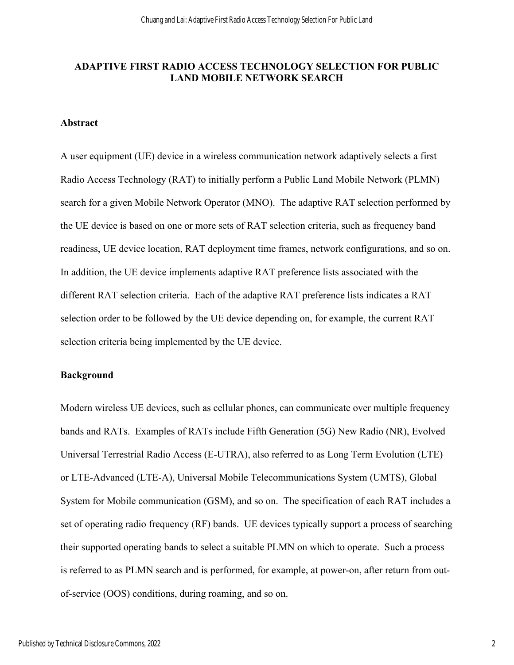## **ADAPTIVE FIRST RADIO ACCESS TECHNOLOGY SELECTION FOR PUBLIC LAND MOBILE NETWORK SEARCH**

#### **Abstract**

A user equipment (UE) device in a wireless communication network adaptively selects a first Radio Access Technology (RAT) to initially perform a Public Land Mobile Network (PLMN) search for a given Mobile Network Operator (MNO). The adaptive RAT selection performed by the UE device is based on one or more sets of RAT selection criteria, such as frequency band readiness, UE device location, RAT deployment time frames, network configurations, and so on. In addition, the UE device implements adaptive RAT preference lists associated with the different RAT selection criteria. Each of the adaptive RAT preference lists indicates a RAT selection order to be followed by the UE device depending on, for example, the current RAT selection criteria being implemented by the UE device.

#### **Background**

Modern wireless UE devices, such as cellular phones, can communicate over multiple frequency bands and RATs. Examples of RATs include Fifth Generation (5G) New Radio (NR), Evolved Universal Terrestrial Radio Access (E-UTRA), also referred to as Long Term Evolution (LTE) or LTE-Advanced (LTE-A), Universal Mobile Telecommunications System (UMTS), Global System for Mobile communication (GSM), and so on. The specification of each RAT includes a set of operating radio frequency (RF) bands. UE devices typically support a process of searching their supported operating bands to select a suitable PLMN on which to operate. Such a process is referred to as PLMN search and is performed, for example, at power-on, after return from outof-service (OOS) conditions, during roaming, and so on.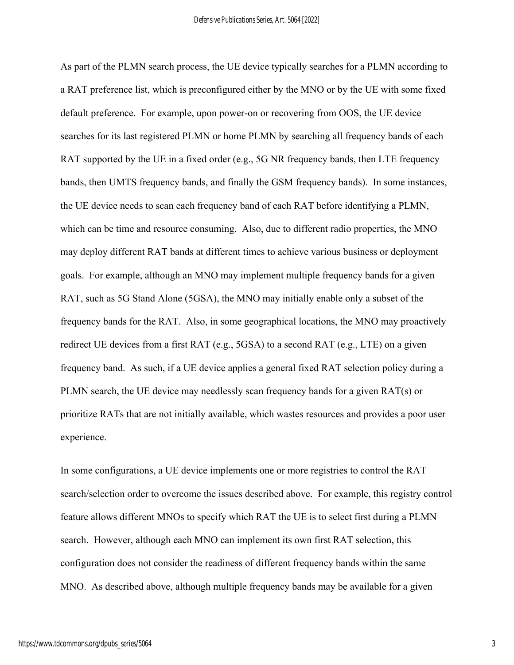As part of the PLMN search process, the UE device typically searches for a PLMN according to a RAT preference list, which is preconfigured either by the MNO or by the UE with some fixed default preference. For example, upon power-on or recovering from OOS, the UE device searches for its last registered PLMN or home PLMN by searching all frequency bands of each RAT supported by the UE in a fixed order (e.g., 5G NR frequency bands, then LTE frequency bands, then UMTS frequency bands, and finally the GSM frequency bands). In some instances, the UE device needs to scan each frequency band of each RAT before identifying a PLMN, which can be time and resource consuming. Also, due to different radio properties, the MNO may deploy different RAT bands at different times to achieve various business or deployment goals. For example, although an MNO may implement multiple frequency bands for a given RAT, such as 5G Stand Alone (5GSA), the MNO may initially enable only a subset of the frequency bands for the RAT. Also, in some geographical locations, the MNO may proactively redirect UE devices from a first RAT (e.g., 5GSA) to a second RAT (e.g., LTE) on a given frequency band. As such, if a UE device applies a general fixed RAT selection policy during a PLMN search, the UE device may needlessly scan frequency bands for a given RAT(s) or prioritize RATs that are not initially available, which wastes resources and provides a poor user experience.

In some configurations, a UE device implements one or more registries to control the RAT search/selection order to overcome the issues described above. For example, this registry control feature allows different MNOs to specify which RAT the UE is to select first during a PLMN search. However, although each MNO can implement its own first RAT selection, this configuration does not consider the readiness of different frequency bands within the same MNO. As described above, although multiple frequency bands may be available for a given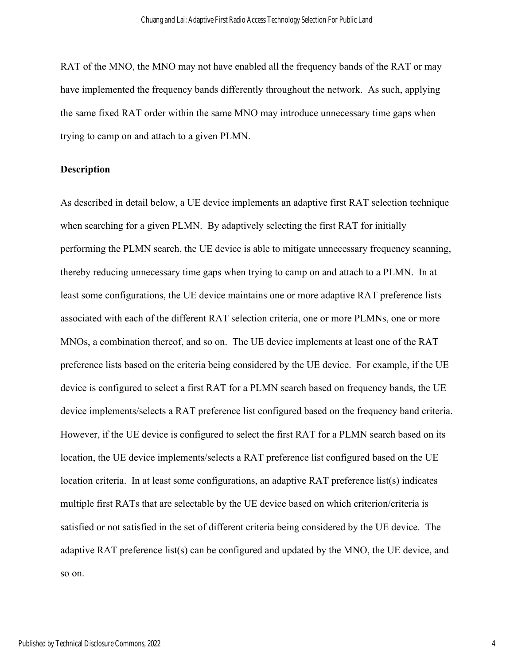RAT of the MNO, the MNO may not have enabled all the frequency bands of the RAT or may have implemented the frequency bands differently throughout the network. As such, applying the same fixed RAT order within the same MNO may introduce unnecessary time gaps when trying to camp on and attach to a given PLMN.

#### **Description**

As described in detail below, a UE device implements an adaptive first RAT selection technique when searching for a given PLMN. By adaptively selecting the first RAT for initially performing the PLMN search, the UE device is able to mitigate unnecessary frequency scanning, thereby reducing unnecessary time gaps when trying to camp on and attach to a PLMN. In at least some configurations, the UE device maintains one or more adaptive RAT preference lists associated with each of the different RAT selection criteria, one or more PLMNs, one or more MNOs, a combination thereof, and so on. The UE device implements at least one of the RAT preference lists based on the criteria being considered by the UE device. For example, if the UE device is configured to select a first RAT for a PLMN search based on frequency bands, the UE device implements/selects a RAT preference list configured based on the frequency band criteria. However, if the UE device is configured to select the first RAT for a PLMN search based on its location, the UE device implements/selects a RAT preference list configured based on the UE location criteria. In at least some configurations, an adaptive RAT preference list(s) indicates multiple first RATs that are selectable by the UE device based on which criterion/criteria is satisfied or not satisfied in the set of different criteria being considered by the UE device. The adaptive RAT preference list(s) can be configured and updated by the MNO, the UE device, and so on.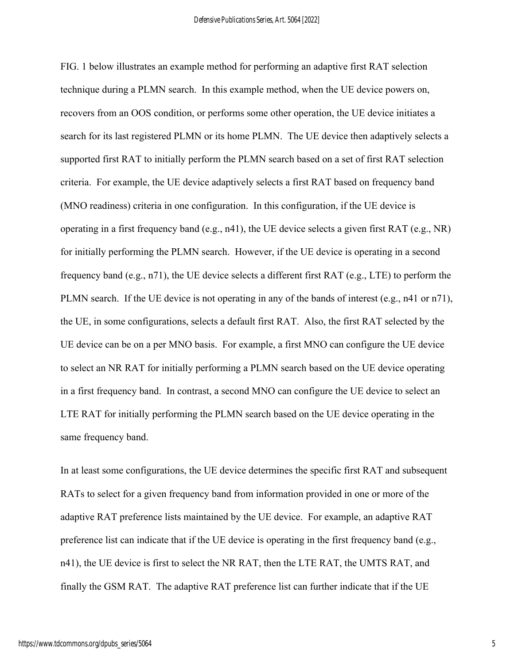FIG. 1 below illustrates an example method for performing an adaptive first RAT selection technique during a PLMN search. In this example method, when the UE device powers on, recovers from an OOS condition, or performs some other operation, the UE device initiates a search for its last registered PLMN or its home PLMN. The UE device then adaptively selects a supported first RAT to initially perform the PLMN search based on a set of first RAT selection criteria. For example, the UE device adaptively selects a first RAT based on frequency band (MNO readiness) criteria in one configuration. In this configuration, if the UE device is operating in a first frequency band (e.g., n41), the UE device selects a given first RAT (e.g., NR) for initially performing the PLMN search. However, if the UE device is operating in a second frequency band (e.g., n71), the UE device selects a different first RAT (e.g., LTE) to perform the PLMN search. If the UE device is not operating in any of the bands of interest (e.g., n41 or n71), the UE, in some configurations, selects a default first RAT. Also, the first RAT selected by the UE device can be on a per MNO basis. For example, a first MNO can configure the UE device to select an NR RAT for initially performing a PLMN search based on the UE device operating in a first frequency band. In contrast, a second MNO can configure the UE device to select an LTE RAT for initially performing the PLMN search based on the UE device operating in the same frequency band.

In at least some configurations, the UE device determines the specific first RAT and subsequent RATs to select for a given frequency band from information provided in one or more of the adaptive RAT preference lists maintained by the UE device. For example, an adaptive RAT preference list can indicate that if the UE device is operating in the first frequency band (e.g., n41), the UE device is first to select the NR RAT, then the LTE RAT, the UMTS RAT, and finally the GSM RAT. The adaptive RAT preference list can further indicate that if the UE

5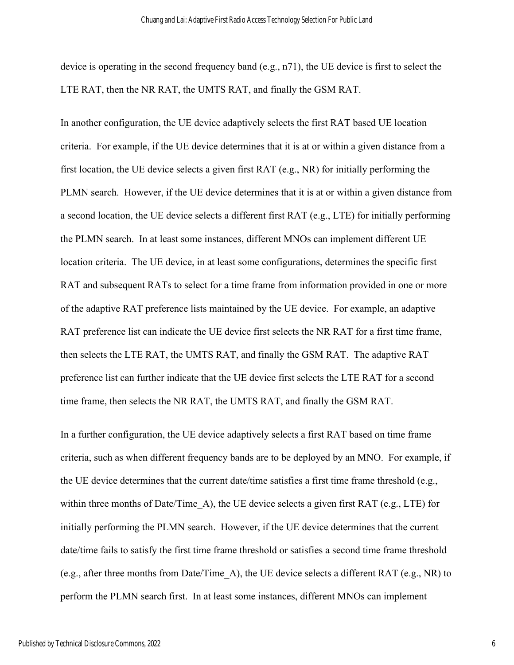device is operating in the second frequency band (e.g., n71), the UE device is first to select the LTE RAT, then the NR RAT, the UMTS RAT, and finally the GSM RAT.

In another configuration, the UE device adaptively selects the first RAT based UE location criteria. For example, if the UE device determines that it is at or within a given distance from a first location, the UE device selects a given first RAT (e.g., NR) for initially performing the PLMN search. However, if the UE device determines that it is at or within a given distance from a second location, the UE device selects a different first RAT (e.g., LTE) for initially performing the PLMN search. In at least some instances, different MNOs can implement different UE location criteria. The UE device, in at least some configurations, determines the specific first RAT and subsequent RATs to select for a time frame from information provided in one or more of the adaptive RAT preference lists maintained by the UE device. For example, an adaptive RAT preference list can indicate the UE device first selects the NR RAT for a first time frame, then selects the LTE RAT, the UMTS RAT, and finally the GSM RAT. The adaptive RAT preference list can further indicate that the UE device first selects the LTE RAT for a second time frame, then selects the NR RAT, the UMTS RAT, and finally the GSM RAT.

In a further configuration, the UE device adaptively selects a first RAT based on time frame criteria, such as when different frequency bands are to be deployed by an MNO. For example, if the UE device determines that the current date/time satisfies a first time frame threshold (e.g., within three months of Date/Time A), the UE device selects a given first RAT (e.g., LTE) for initially performing the PLMN search. However, if the UE device determines that the current date/time fails to satisfy the first time frame threshold or satisfies a second time frame threshold (e.g., after three months from Date/Time\_A), the UE device selects a different RAT (e.g., NR) to perform the PLMN search first. In at least some instances, different MNOs can implement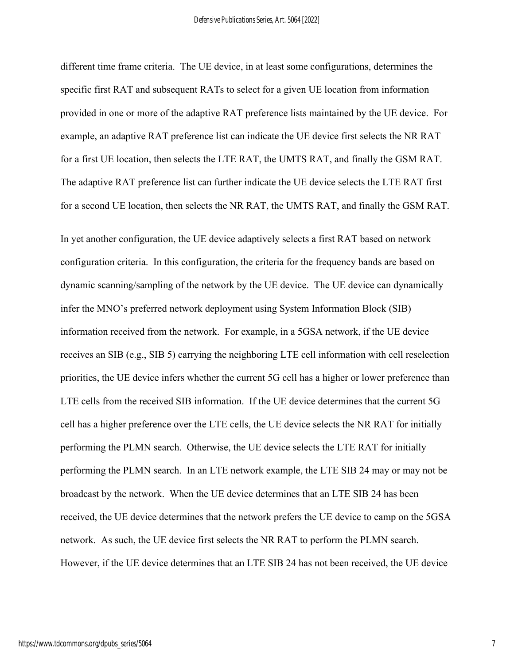different time frame criteria. The UE device, in at least some configurations, determines the specific first RAT and subsequent RATs to select for a given UE location from information provided in one or more of the adaptive RAT preference lists maintained by the UE device. For example, an adaptive RAT preference list can indicate the UE device first selects the NR RAT for a first UE location, then selects the LTE RAT, the UMTS RAT, and finally the GSM RAT. The adaptive RAT preference list can further indicate the UE device selects the LTE RAT first for a second UE location, then selects the NR RAT, the UMTS RAT, and finally the GSM RAT.

In yet another configuration, the UE device adaptively selects a first RAT based on network configuration criteria. In this configuration, the criteria for the frequency bands are based on dynamic scanning/sampling of the network by the UE device. The UE device can dynamically infer the MNO's preferred network deployment using System Information Block (SIB) information received from the network. For example, in a 5GSA network, if the UE device receives an SIB (e.g., SIB 5) carrying the neighboring LTE cell information with cell reselection priorities, the UE device infers whether the current 5G cell has a higher or lower preference than LTE cells from the received SIB information. If the UE device determines that the current 5G cell has a higher preference over the LTE cells, the UE device selects the NR RAT for initially performing the PLMN search. Otherwise, the UE device selects the LTE RAT for initially performing the PLMN search. In an LTE network example, the LTE SIB 24 may or may not be broadcast by the network. When the UE device determines that an LTE SIB 24 has been received, the UE device determines that the network prefers the UE device to camp on the 5GSA network. As such, the UE device first selects the NR RAT to perform the PLMN search. However, if the UE device determines that an LTE SIB 24 has not been received, the UE device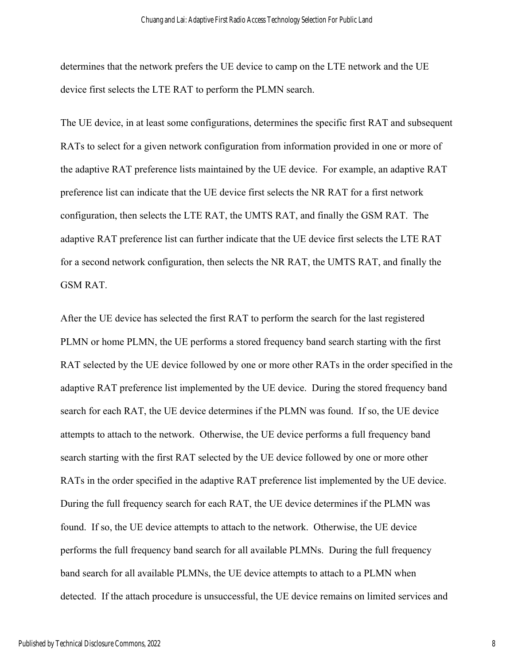determines that the network prefers the UE device to camp on the LTE network and the UE device first selects the LTE RAT to perform the PLMN search.

The UE device, in at least some configurations, determines the specific first RAT and subsequent RATs to select for a given network configuration from information provided in one or more of the adaptive RAT preference lists maintained by the UE device. For example, an adaptive RAT preference list can indicate that the UE device first selects the NR RAT for a first network configuration, then selects the LTE RAT, the UMTS RAT, and finally the GSM RAT. The adaptive RAT preference list can further indicate that the UE device first selects the LTE RAT for a second network configuration, then selects the NR RAT, the UMTS RAT, and finally the GSM RAT.

After the UE device has selected the first RAT to perform the search for the last registered PLMN or home PLMN, the UE performs a stored frequency band search starting with the first RAT selected by the UE device followed by one or more other RATs in the order specified in the adaptive RAT preference list implemented by the UE device. During the stored frequency band search for each RAT, the UE device determines if the PLMN was found. If so, the UE device attempts to attach to the network. Otherwise, the UE device performs a full frequency band search starting with the first RAT selected by the UE device followed by one or more other RATs in the order specified in the adaptive RAT preference list implemented by the UE device. During the full frequency search for each RAT, the UE device determines if the PLMN was found. If so, the UE device attempts to attach to the network. Otherwise, the UE device performs the full frequency band search for all available PLMNs. During the full frequency band search for all available PLMNs, the UE device attempts to attach to a PLMN when detected. If the attach procedure is unsuccessful, the UE device remains on limited services and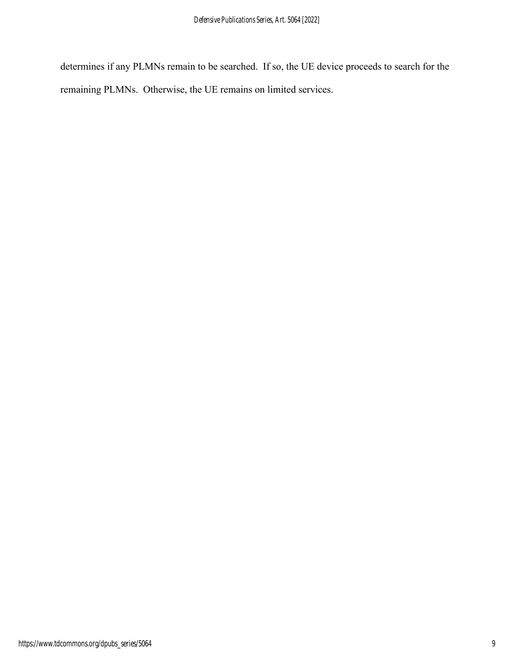determines if any PLMNs remain to be searched. If so, the UE device proceeds to search for the remaining PLMNs. Otherwise, the UE remains on limited services.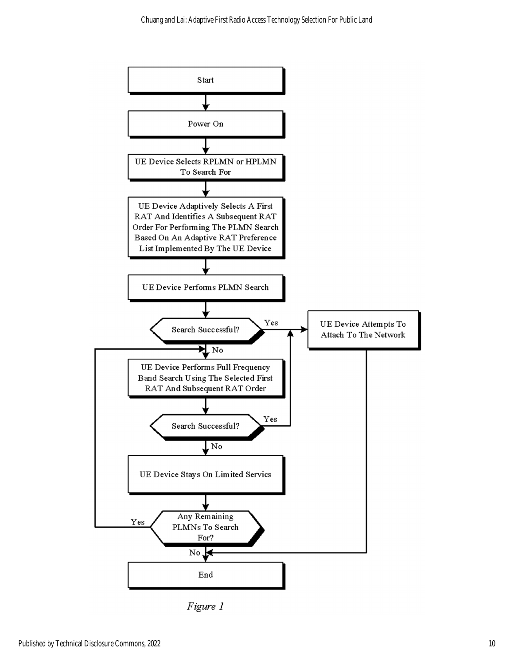

Figure 1